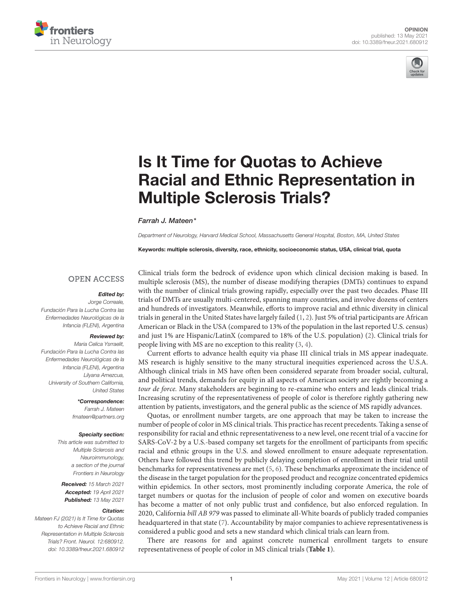



# Is It Time for Quotas to Achieve [Racial and Ethnic Representation in](https://www.frontiersin.org/articles/10.3389/fneur.2021.680912/full) Multiple Sclerosis Trials?

Farrah J. Mateen\*

Department of Neurology, Harvard Medical School, Massachusetts General Hospital, Boston, MA, United States

Keywords: multiple sclerosis, diversity, race, ethnicity, socioeconomic status, USA, clinical trial, quota

## **OPEN ACCESS**

### Edited by:

Jorge Correale, Fundación Para la Lucha Contra las Enfermedades Neurológicas de la Infancia (FLENI), Argentina

#### Reviewed by:

Maria Celica Ysrraelit, Fundación Para la Lucha Contra las Enfermedades Neurológicas de la Infancia (FLENI), Argentina Lilyana Amezcua, University of Southern California, United States

\*Correspondence:

Farrah J. Mateen [fmateen@partners.org](mailto:fmateen@partners.org)

#### Specialty section:

This article was submitted to Multiple Sclerosis and Neuroimmunology, a section of the journal Frontiers in Neurology

Received: 15 March 2021 Accepted: 19 April 2021 Published: 13 May 2021

#### Citation:

Mateen FJ (2021) Is It Time for Quotas to Achieve Racial and Ethnic Representation in Multiple Sclerosis Trials? Front. Neurol. 12:680912. doi: [10.3389/fneur.2021.680912](https://doi.org/10.3389/fneur.2021.680912) Clinical trials form the bedrock of evidence upon which clinical decision making is based. In multiple sclerosis (MS), the number of disease modifying therapies (DMTs) continues to expand with the number of clinical trials growing rapidly, especially over the past two decades. Phase III trials of DMTs are usually multi-centered, spanning many countries, and involve dozens of centers and hundreds of investigators. Meanwhile, efforts to improve racial and ethnic diversity in clinical trials in general in the United States have largely failed [\(1,](#page-3-0) [2\)](#page-3-1). Just 5% of trial participants are African American or Black in the USA (compared to 13% of the population in the last reported U.S. census) and just 1% are Hispanic/LatinX (compared to 18% of the U.S. population) [\(2\)](#page-3-1). Clinical trials for people living with MS are no exception to this reality [\(3,](#page-3-2) [4\)](#page-3-3).

Current efforts to advance health equity via phase III clinical trials in MS appear inadequate. MS research is highly sensitive to the many structural inequities experienced across the U.S.A. Although clinical trials in MS have often been considered separate from broader social, cultural, and political trends, demands for equity in all aspects of American society are rightly becoming a tour de force. Many stakeholders are beginning to re-examine who enters and leads clinical trials. Increasing scrutiny of the representativeness of people of color is therefore rightly gathering new attention by patients, investigators, and the general public as the science of MS rapidly advances.

Quotas, or enrollment number targets, are one approach that may be taken to increase the number of people of color in MS clinical trials. This practice has recent precedents. Taking a sense of responsibility for racial and ethnic representativeness to a new level, one recent trial of a vaccine for SARS-CoV-2 by a U.S.-based company set targets for the enrollment of participants from specific racial and ethnic groups in the U.S. and slowed enrollment to ensure adequate representation. Others have followed this trend by publicly delaying completion of enrollment in their trial until benchmarks for representativeness are met [\(5,](#page-3-4) [6\)](#page-3-5). These benchmarks approximate the incidence of the disease in the target population for the proposed product and recognize concentrated epidemics within epidemics. In other sectors, most prominently including corporate America, the role of target numbers or quotas for the inclusion of people of color and women on executive boards has become a matter of not only public trust and confidence, but also enforced regulation. In 2020, California bill AB 979 was passed to eliminate all-White boards of publicly traded companies headquartered in that state [\(7\)](#page-3-6). Accountability by major companies to achieve representativeness is considered a public good and sets a new standard which clinical trials can learn from.

There are reasons for and against concrete numerical enrollment targets to ensure representativeness of people of color in MS clinical trials (**[Table 1](#page-1-0)**).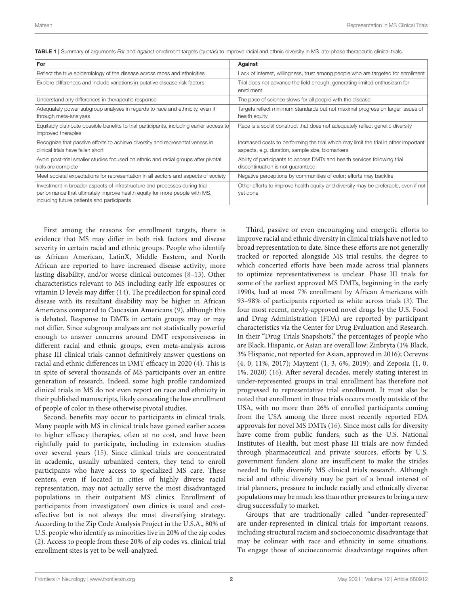| For                                                                                                                                                                                                    | Against                                                                                                                                 |
|--------------------------------------------------------------------------------------------------------------------------------------------------------------------------------------------------------|-----------------------------------------------------------------------------------------------------------------------------------------|
| Reflect the true epidemiology of the disease across races and ethnicities                                                                                                                              | Lack of interest, willingness, trust among people who are targeted for enrollment                                                       |
| Explore differences and include variations in putative disease risk factors                                                                                                                            | Trial does not advance the field enough, generating limited enthusiasm for<br>enrollment                                                |
| Understand any differences in therapeutic response                                                                                                                                                     | The pace of science slows for all people with the disease                                                                               |
| Adequately power subgroup analyses in regards to race and ethnicity, even if<br>through meta-analyses                                                                                                  | Targets reflect minimum standards but not maximal progress on larger issues of<br>health equity                                         |
| Equitably distribute possible benefits to trial participants, including earlier access to<br>improved therapies                                                                                        | Race is a social construct that does not adequately reflect genetic diversity                                                           |
| Recognize that passive efforts to achieve diversity and representativeness in<br>clinical trials have fallen short                                                                                     | Increased costs to performing the trial which may limit the trial in other important<br>aspects, e.g. duration, sample size, biomarkers |
| Avoid post-trial smaller studies focused on ethnic and racial groups after pivotal<br>trials are complete                                                                                              | Ability of participants to access DMTs and health services following trial<br>discontinuation is not quaranteed                         |
| Meet societal expectations for representation in all sectors and aspects of society                                                                                                                    | Negative perceptions by communities of color; efforts may backfire                                                                      |
| Investment in broader aspects of infrastructure and processes during trial<br>performance that ultimately improve health equity for more people with MS,<br>including future patients and participants | Other efforts to improve health equity and diversity may be preferable, even if not<br>yet done                                         |

<span id="page-1-0"></span>TABLE 1 | Summary of arguments For and Against enrollment targets (quotas) to improve racial and ethnic diversity in MS late-phase therapeutic clinical trials.

First among the reasons for enrollment targets, there is evidence that MS may differ in both risk factors and disease severity in certain racial and ethnic groups. People who identify as African American, LatinX, Middle Eastern, and North African are reported to have increased disease activity, more lasting disability, and/or worse clinical outcomes [\(8](#page-3-7)[–13\)](#page-3-8). Other characteristics relevant to MS including early life exposures or vitamin D levels may differ [\(14\)](#page-3-9). The predilection for spinal cord disease with its resultant disability may be higher in African Americans compared to Caucasian Americans [\(9\)](#page-3-10), although this is debated. Response to DMTs in certain groups may or may not differ. Since subgroup analyses are not statistically powerful enough to answer concerns around DMT responsiveness in different racial and ethnic groups, even meta-analysis across phase III clinical trials cannot definitively answer questions on racial and ethnic differences in DMT efficacy in 2020 [\(4\)](#page-3-3). This is in spite of several thousands of MS participants over an entire generation of research. Indeed, some high profile randomized clinical trials in MS do not even report on race and ethnicity in their published manuscripts, likely concealing the low enrollment of people of color in these otherwise pivotal studies.

Second, benefits may occur to participants in clinical trials. Many people with MS in clinical trials have gained earlier access to higher efficacy therapies, often at no cost, and have been rightfully paid to participate, including in extension studies over several years [\(15\)](#page-3-11). Since clinical trials are concentrated in academic, usually urbanized centers, they tend to enroll participants who have access to specialized MS care. These centers, even if located in cities of highly diverse racial representation, may not actually serve the most disadvantaged populations in their outpatient MS clinics. Enrollment of participants from investigators' own clinics is usual and costeffective but is not always the most diversifying strategy. According to the Zip Code Analysis Project in the U.S.A., 80% of U.S. people who identify as minorities live in 20% of the zip codes [\(2\)](#page-3-1). Access to people from these 20% of zip codes vs. clinical trial enrollment sites is yet to be well-analyzed.

Third, passive or even encouraging and energetic efforts to improve racial and ethnic diversity in clinical trials have not led to broad representation to date. Since these efforts are not generally tracked or reported alongside MS trial results, the degree to which concerted efforts have been made across trial planners to optimize representativeness is unclear. Phase III trials for some of the earliest approved MS DMTs, beginning in the early 1990s, had at most 7% enrollment by African Americans with 93–98% of participants reported as white across trials [\(3\)](#page-3-2). The four most recent, newly-approved novel drugs by the U.S. Food and Drug Administration (FDA) are reported by participant characteristics via the Center for Drug Evaluation and Research. In their "Drug Trials Snapshots," the percentages of people who are Black, Hispanic, or Asian are overall low: Zinbryta (1% Black, 3% Hispanic, not reported for Asian, approved in 2016); Ocrevus (4, 0, 11%, 2017); Mayzent (1, 3, 6%, 2019); and Zeposia (1, 0, 1%, 2020) [\(16\)](#page-3-12). After several decades, merely stating interest in under-represented groups in trial enrollment has therefore not progressed to representative trial enrollment. It must also be noted that enrollment in these trials occurs mostly outside of the USA, with no more than 26% of enrolled participants coming from the USA among the three most recently reported FDA approvals for novel MS DMTs [\(16\)](#page-3-12). Since most calls for diversity have come from public funders, such as the U.S. National Institutes of Health, but most phase III trials are now funded through pharmaceutical and private sources, efforts by U.S. government funders alone are insufficient to make the strides needed to fully diversify MS clinical trials research. Although racial and ethnic diversity may be part of a broad interest of trial planners, pressure to include racially and ethnically diverse populations may be much less than other pressures to bring a new drug successfully to market.

Groups that are traditionally called "under-represented" are under-represented in clinical trials for important reasons, including structural racism and socioeconomic disadvantage that may be colinear with race and ethnicity in some situations. To engage those of socioeconomic disadvantage requires often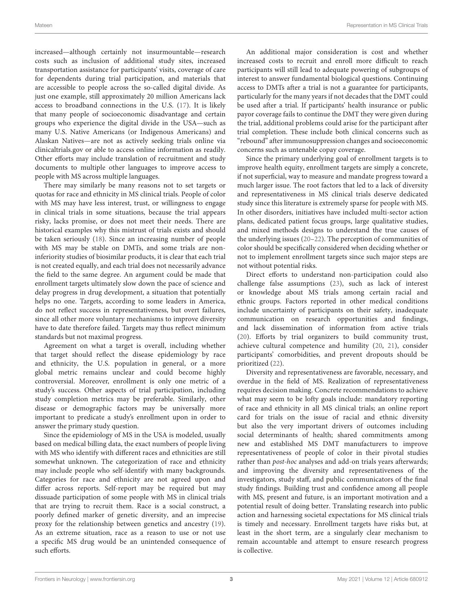increased—although certainly not insurmountable—research costs such as inclusion of additional study sites, increased transportation assistance for participants' visits, coverage of care for dependents during trial participation, and materials that are accessible to people across the so-called digital divide. As just one example, still approximately 20 million Americans lack access to broadband connections in the U.S. [\(17\)](#page-3-13). It is likely that many people of socioeconomic disadvantage and certain groups who experience the digital divide in the USA—such as many U.S. Native Americans (or Indigenous Americans) and Alaskan Natives—are not as actively seeking trials online via clinicaltrials.gov or able to access online information as readily. Other efforts may include translation of recruitment and study documents to multiple other languages to improve access to people with MS across multiple languages.

There may similarly be many reasons not to set targets or quotas for race and ethnicity in MS clinical trials. People of color with MS may have less interest, trust, or willingness to engage in clinical trials in some situations, because the trial appears risky, lacks promise, or does not meet their needs. There are historical examples why this mistrust of trials exists and should be taken seriously [\(18\)](#page-3-14). Since an increasing number of people with MS may be stable on DMTs, and some trials are noninferiority studies of biosimilar products, it is clear that each trial is not created equally, and each trial does not necessarily advance the field to the same degree. An argument could be made that enrollment targets ultimately slow down the pace of science and delay progress in drug development, a situation that potentially helps no one. Targets, according to some leaders in America, do not reflect success in representativeness, but overt failures, since all other more voluntary mechanisms to improve diversity have to date therefore failed. Targets may thus reflect minimum standards but not maximal progress.

Agreement on what a target is overall, including whether that target should reflect the disease epidemiology by race and ethnicity, the U.S. population in general, or a more global metric remains unclear and could become highly controversial. Moreover, enrollment is only one metric of a study's success. Other aspects of trial participation, including study completion metrics may be preferable. Similarly, other disease or demographic factors may be universally more important to predicate a study's enrollment upon in order to answer the primary study question.

Since the epidemiology of MS in the USA is modeled, usually based on medical billing data, the exact numbers of people living with MS who identify with different races and ethnicities are still somewhat unknown. The categorization of race and ethnicity may include people who self-identify with many backgrounds. Categories for race and ethnicity are not agreed upon and differ across reports. Self-report may be required but may dissuade participation of some people with MS in clinical trials that are trying to recruit them. Race is a social construct, a poorly defined marker of genetic diversity, and an imprecise proxy for the relationship between genetics and ancestry [\(19\)](#page-3-15). As an extreme situation, race as a reason to use or not use a specific MS drug would be an unintended consequence of such efforts.

An additional major consideration is cost and whether increased costs to recruit and enroll more difficult to reach participants will still lead to adequate powering of subgroups of interest to answer fundamental biological questions. Continuing access to DMTs after a trial is not a guarantee for participants, particularly for the many years if not decades that the DMT could be used after a trial. If participants' health insurance or public payor coverage fails to continue the DMT they were given during the trial, additional problems could arise for the participant after trial completion. These include both clinical concerns such as "rebound" after immunosuppression changes and socioeconomic concerns such as untenable copay coverage.

Since the primary underlying goal of enrollment targets is to improve health equity, enrollment targets are simply a concrete, if not superficial, way to measure and mandate progress toward a much larger issue. The root factors that led to a lack of diversity and representativeness in MS clinical trials deserve dedicated study since this literature is extremely sparse for people with MS. In other disorders, initiatives have included multi-sector action plans, dedicated patient focus groups, large qualitative studies, and mixed methods designs to understand the true causes of the underlying issues [\(20](#page-3-16)[–22\)](#page-3-17). The perception of communities of color should be specifically considered when deciding whether or not to implement enrollment targets since such major steps are not without potential risks.

Direct efforts to understand non-participation could also challenge false assumptions [\(23\)](#page-3-18), such as lack of interest or knowledge about MS trials among certain racial and ethnic groups. Factors reported in other medical conditions include uncertainty of participants on their safety, inadequate communication on research opportunities and findings, and lack dissemination of information from active trials [\(20\)](#page-3-16). Efforts by trial organizers to build community trust, achieve cultural competence and humility [\(20,](#page-3-16) [21\)](#page-3-19), consider participants' comorbidities, and prevent dropouts should be prioritized [\(22\)](#page-3-17).

Diversity and representativeness are favorable, necessary, and overdue in the field of MS. Realization of representativeness requires decision making. Concrete recommendations to achieve what may seem to be lofty goals include: mandatory reporting of race and ethnicity in all MS clinical trials; an online report card for trials on the issue of racial and ethnic diversity but also the very important drivers of outcomes including social determinants of health; shared commitments among new and established MS DMT manufacturers to improve representativeness of people of color in their pivotal studies rather than post-hoc analyses and add-on trials years afterwards; and improving the diversity and representativeness of the investigators, study staff, and public communicators of the final study findings. Building trust and confidence among all people with MS, present and future, is an important motivation and a potential result of doing better. Translating research into public action and harnessing societal expectations for MS clinical trials is timely and necessary. Enrollment targets have risks but, at least in the short term, are a singularly clear mechanism to remain accountable and attempt to ensure research progress is collective.